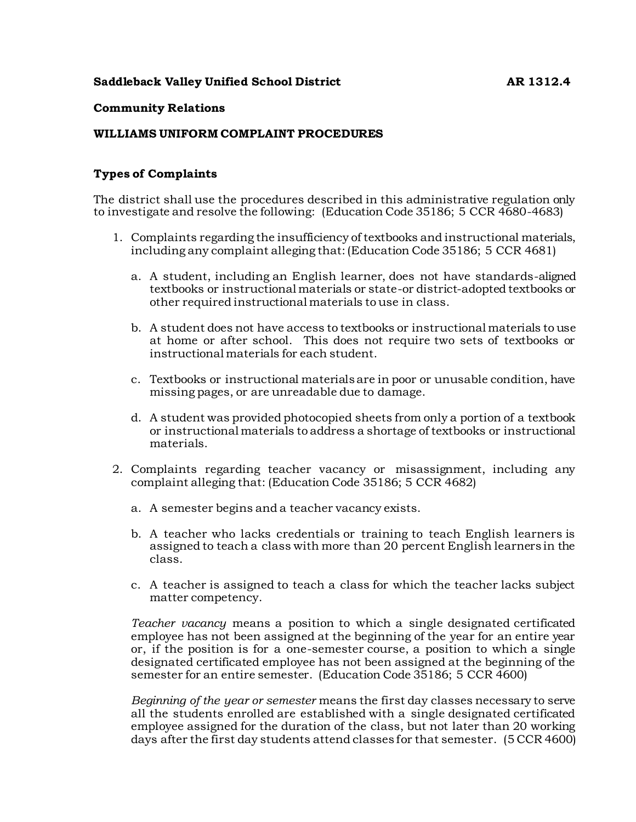# **Saddleback Valley Unified School District 6 and 1312.4** AR 1312.4

#### **Community Relations**

#### **WILLIAMS UNIFORM COMPLAINT PROCEDURES**

## **Types of Complaints**

The district shall use the procedures described in this administrative regulation only to investigate and resolve the following: (Education Code 35186; 5 CCR 4680-4683)

- 1. Complaints regarding the insufficiency of textbooks and instructional materials, including any complaint alleging that: (Education Code 35186; 5 CCR 4681)
	- a. A student, including an English learner, does not have standards-aligned textbooks or instructional materials or state-or district-adopted textbooks or other required instructional materials to use in class.
	- b. A student does not have access to textbooks or instructional materials to use at home or after school. This does not require two sets of textbooks or instructional materials for each student.
	- c. Textbooks or instructional materials are in poor or unusable condition, have missing pages, or are unreadable due to damage.
	- d. A student was provided photocopied sheets from only a portion of a textbook or instructional materials to address a shortage of textbooks or instructional materials.
- 2. Complaints regarding teacher vacancy or misassignment, including any complaint alleging that: (Education Code 35186; 5 CCR 4682)
	- a. A semester begins and a teacher vacancy exists.
	- b. A teacher who lacks credentials or training to teach English learners is assigned to teach a class with more than 20 percent English learners in the class.
	- c. A teacher is assigned to teach a class for which the teacher lacks subject matter competency.

*Teacher vacancy* means a position to which a single designated certificated employee has not been assigned at the beginning of the year for an entire year or, if the position is for a one-semester course, a position to which a single designated certificated employee has not been assigned at the beginning of the semester for an entire semester. (Education Code 35186; 5 CCR 4600)

*Beginning of the year or semester* means the first day classes necessary to serve all the students enrolled are established with a single designated certificated employee assigned for the duration of the class, but not later than 20 working days after the first day students attend classes for that semester. (5 CCR 4600)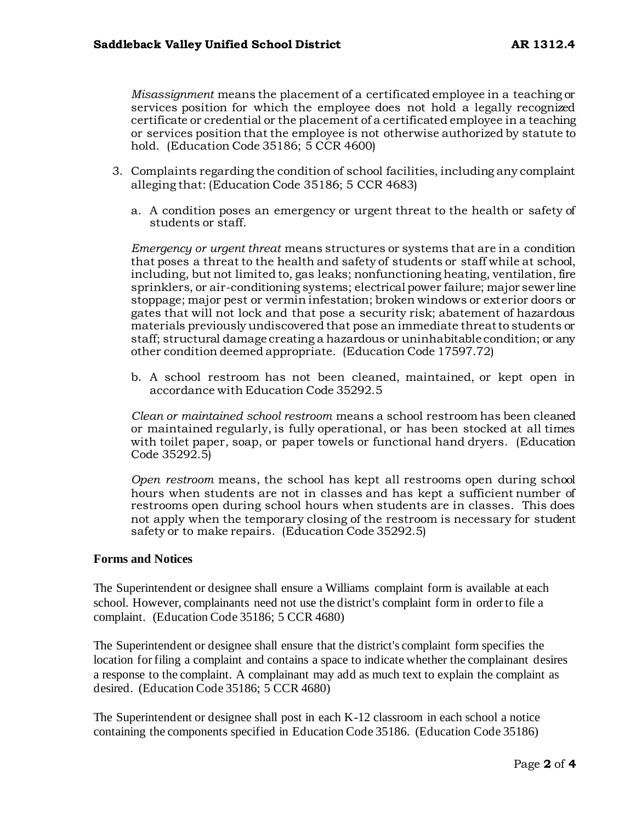*Misassignment* means the placement of a certificated employee in a teaching or services position for which the employee does not hold a legally recognized certificate or credential or the placement of a certificated employee in a teaching or services position that the employee is not otherwise authorized by statute to hold. (Education Code 35186; 5 CCR 4600)

- 3. Complaints regarding the condition of school facilities, including any complaint alleging that: (Education Code 35186; 5 CCR 4683)
	- a. A condition poses an emergency or urgent threat to the health or safety of students or staff.

*Emergency or urgent threat* means structures or systems that are in a condition that poses a threat to the health and safety of students or staff while at school, including, but not limited to, gas leaks; nonfunctioning heating, ventilation, fire sprinklers, or air-conditioning systems; electrical power failure; major sewer line stoppage; major pest or vermin infestation; broken windows or exterior doors or gates that will not lock and that pose a security risk; abatement of hazardous materials previously undiscovered that pose an immediate threat to students or staff; structural damage creating a hazardous or uninhabitable condition; or any other condition deemed appropriate. (Education Code 17597.72)

b. A school restroom has not been cleaned, maintained, or kept open in accordance with Education Code 35292.5

*Clean or maintained school restroom* means a school restroom has been cleaned or maintained regularly, is fully operational, or has been stocked at all times with toilet paper, soap, or paper towels or functional hand dryers. (Education Code 35292.5)

*Open restroom* means, the school has kept all restrooms open during school hours when students are not in classes and has kept a sufficient number of restrooms open during school hours when students are in classes. This does not apply when the temporary closing of the restroom is necessary for student safety or to make repairs. (Education Code 35292.5)

## **Forms and Notices**

The Superintendent or designee shall ensure a Williams complaint form is available at each school. However, complainants need not use the district's complaint form in order to file a complaint. (Education Code 35186; 5 CCR 4680)

The Superintendent or designee shall ensure that the district's complaint form specifies the location for filing a complaint and contains a space to indicate whether the complainant desires a response to the complaint. A complainant may add as much text to explain the complaint as desired. (Education Code 35186; 5 CCR 4680)

The Superintendent or designee shall post in each K-12 classroom in each school a notice containing the components specified in Education Code 35186. (Education Code 35186)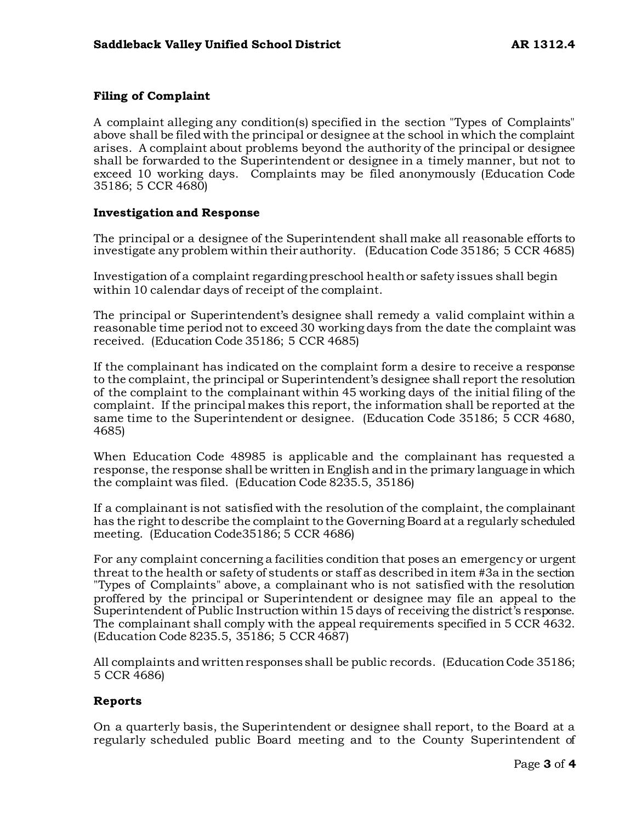# **Filing of Complaint**

A complaint alleging any condition(s) specified in the section "Types of Complaints" above shall be filed with the principal or designee at the school in which the complaint arises. A complaint about problems beyond the authority of the principal or designee shall be forwarded to the Superintendent or designee in a timely manner, but not to exceed 10 working days. Complaints may be filed anonymously (Education Code 35186; 5 CCR 4680)

#### **Investigation and Response**

The principal or a designee of the Superintendent shall make all reasonable efforts to investigate any problem within their authority. (Education Code 35186; 5 CCR 4685)

Investigation of a complaint regarding preschool health or safety issues shall begin within 10 calendar days of receipt of the complaint.

The principal or Superintendent's designee shall remedy a valid complaint within a reasonable time period not to exceed 30 working days from the date the complaint was received. (Education Code 35186; 5 CCR 4685)

If the complainant has indicated on the complaint form a desire to receive a response to the complaint, the principal or Superintendent's designee shall report the resolution of the complaint to the complainant within 45 working days of the initial filing of the complaint. If the principal makes this report, the information shall be reported at the same time to the Superintendent or designee. (Education Code 35186; 5 CCR 4680, 4685)

When Education Code 48985 is applicable and the complainant has requested a response, the response shall be written in English and in the primary language in which the complaint was filed. (Education Code 8235.5, 35186)

If a complainant is not satisfied with the resolution of the complaint, the complainant has the right to describe the complaint to the Governing Board at a regularly scheduled meeting. (Education Code35186; 5 CCR 4686)

For any complaint concerning a facilities condition that poses an emergency or urgent threat to the health or safety of students or staff as described in item #3a in the section "Types of Complaints" above, a complainant who is not satisfied with the resolution proffered by the principal or Superintendent or designee may file an appeal to the Superintendent of Public Instruction within 15 days of receiving the district's response. The complainant shall comply with the appeal requirements specified in 5 CCR 4632. (Education Code 8235.5, 35186; 5 CCR 4687)

All complaints and written responses shall be public records. (Education Code 35186; 5 CCR 4686)

## **Reports**

On a quarterly basis, the Superintendent or designee shall report, to the Board at a regularly scheduled public Board meeting and to the County Superintendent of